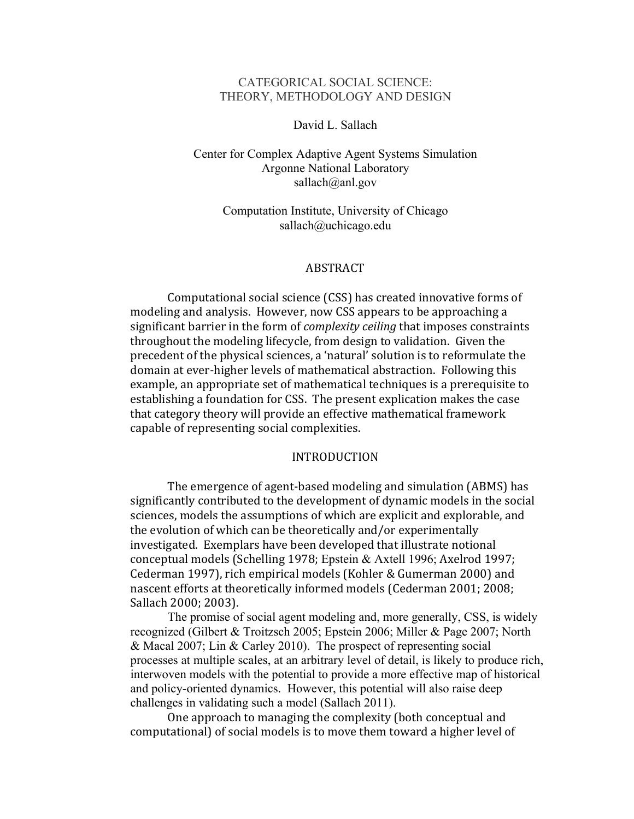## CATEGORICAL SOCIAL SCIENCE: THEORY, METHODOLOGY AND DESIGN

# David L. Sallach

# Center for Complex Adaptive Agent Systems Simulation Argonne National Laboratory sallach@anl.gov

# Computation Institute, University of Chicago sallach@uchicago.edu

### ABSTRACT

Computational social science (CSS) has created innovative forms of modeling and analysis. However, now CSS appears to be approaching a significant barrier in the form of *complexity ceiling* that imposes constraints throughout the modeling lifecycle, from design to validation. Given the precedent of the physical sciences, a 'natural' solution is to reformulate the domain at ever-higher levels of mathematical abstraction. Following this example, an appropriate set of mathematical techniques is a prerequisite to establishing a foundation for CSS. The present explication makes the case that category theory will provide an effective mathematical framework capable of representing social complexities.

### INTRODUCTION

The emergence of agent-based modeling and simulation (ABMS) has significantly contributed to the development of dynamic models in the social sciences, models the assumptions of which are explicit and explorable, and the evolution of which can be theoretically and/or experimentally investigated. Exemplars have been developed that illustrate notional conceptual models (Schelling 1978; Epstein & Axtell 1996; Axelrod 1997; Cederman 1997), rich empirical models (Kohler & Gumerman 2000) and nascent efforts at theoretically informed models (Cederman 2001; 2008; Sallach 2000; 2003).

The promise of social agent modeling and, more generally, CSS, is widely recognized (Gilbert & Troitzsch 2005; Epstein 2006; Miller & Page 2007; North & Macal 2007; Lin & Carley 2010). The prospect of representing social processes at multiple scales, at an arbitrary level of detail, is likely to produce rich, interwoven models with the potential to provide a more effective map of historical and policy-oriented dynamics. However, this potential will also raise deep challenges in validating such a model (Sallach 2011).

One approach to managing the complexity (both conceptual and computational) of social models is to move them toward a higher level of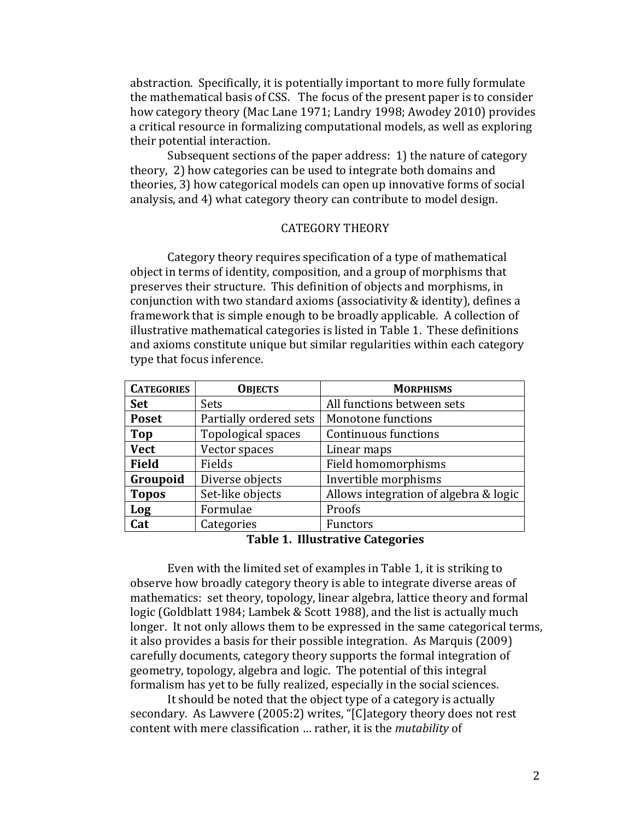abstraction. Specifically, it is potentially important to more fully formulate the mathematical basis of CSS. The focus of the present paper is to consider how category theory (Mac Lane 1971; Landry 1998; Awodey 2010) provides a critical resource in formalizing computational models, as well as exploring their potential interaction.

Subsequent sections of the paper address: 1) the nature of category theory, 2) how categories can be used to integrate both domains and theories, 3) how categorical models can open up innovative forms of social analysis, and 4) what category theory can contribute to model design.

# CATEGORY'THEORY

Category theory requires specification of a type of mathematical object in terms of identity, composition, and a group of morphisms that preserves their structure. This definition of objects and morphisms, in conjunction with two standard axioms (associativity & identity), defines a framework that is simple enough to be broadly applicable. A collection of illustrative mathematical categories is listed in Table 1. These definitions and axioms constitute unique but similar regularities within each category type that focus inference.

| <b>CATEGORIES</b> | <b>OBJECTS</b>         | <b>MORPHISMS</b>                      |
|-------------------|------------------------|---------------------------------------|
| <b>Set</b>        | Sets                   | All functions between sets            |
| <b>Poset</b>      | Partially ordered sets | Monotone functions                    |
| <b>Top</b>        | Topological spaces     | Continuous functions                  |
| <b>Vect</b>       | Vector spaces          | Linear maps                           |
| <b>Field</b>      | Fields                 | Field homomorphisms                   |
| Groupoid          | Diverse objects        | Invertible morphisms                  |
| <b>Topos</b>      | Set-like objects       | Allows integration of algebra & logic |
| Log               | Formulae               | Proofs                                |
| Cat               | Categories             | Functors                              |

Table 1. Illustrative Categories

Even with the limited set of examples in Table 1, it is striking to observe how broadly category theory is able to integrate diverse areas of mathematics: set theory, topology, linear algebra, lattice theory and formal logic (Goldblatt 1984; Lambek & Scott 1988), and the list is actually much longer. It not only allows them to be expressed in the same categorical terms, it also provides a basis for their possible integration. As Marquis (2009) carefully documents, category theory supports the formal integration of geometry, topology, algebra and logic. The potential of this integral formalism has yet to be fully realized, especially in the social sciences.

It should be noted that the object type of a category is actually secondary. As Lawvere (2005:2) writes, "[C]ategory theory does not rest content with mere classification ... rather, it is the *mutability* of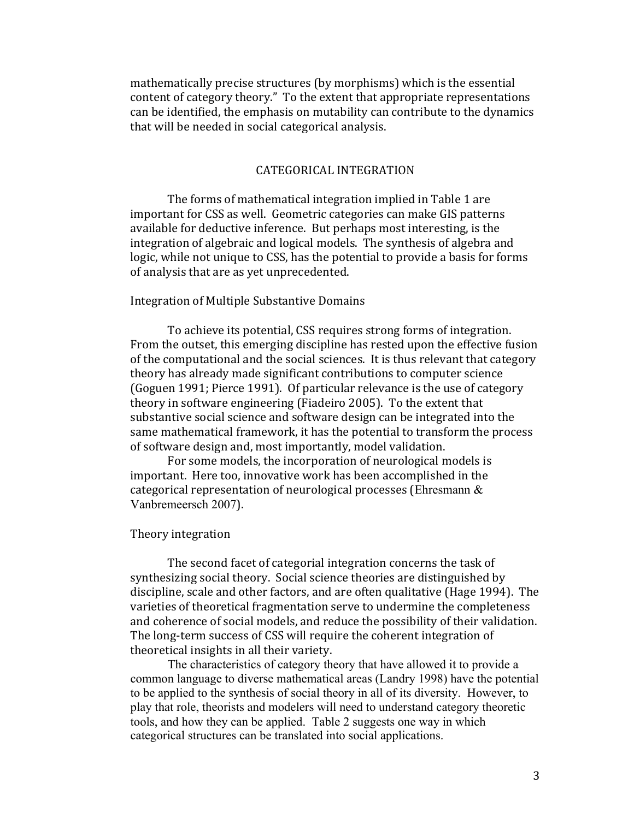mathematically precise structures (by morphisms) which is the essential content of category theory." To the extent that appropriate representations can be identified, the emphasis on mutability can contribute to the dynamics that will be needed in social categorical analysis.

# CATEGORICAL'INTEGRATION

The forms of mathematical integration implied in Table 1 are important for CSS as well. Geometric categories can make GIS patterns available for deductive inference. But perhaps most interesting, is the integration of algebraic and logical models. The synthesis of algebra and logic, while not unique to CSS, has the potential to provide a basis for forms of analysis that are as yet unprecedented.

### Integration of Multiple Substantive Domains

To achieve its potential, CSS requires strong forms of integration. From the outset, this emerging discipline has rested upon the effective fusion of the computational and the social sciences. It is thus relevant that category theory has already made significant contributions to computer science (Goguen 1991; Pierce 1991). Of particular relevance is the use of category theory in software engineering (Fiadeiro 2005). To the extent that substantive social science and software design can be integrated into the same mathematical framework, it has the potential to transform the process of software design and, most importantly, model validation.

For some models, the incorporation of neurological models is important. Here too, innovative work has been accomplished in the categorical representation of neurological processes (Ehresmann  $&$ Vanbremeersch 2007).

#### Theory integration

The second facet of categorial integration concerns the task of synthesizing social theory. Social science theories are distinguished by discipline, scale and other factors, and are often qualitative (Hage 1994). The varieties of theoretical fragmentation serve to undermine the completeness' and coherence of social models, and reduce the possibility of their validation. The long-term success of CSS will require the coherent integration of theoretical insights in all their variety.

The characteristics of category theory that have allowed it to provide a common language to diverse mathematical areas (Landry 1998) have the potential to be applied to the synthesis of social theory in all of its diversity. However, to play that role, theorists and modelers will need to understand category theoretic tools, and how they can be applied. Table 2 suggests one way in which categorical structures can be translated into social applications.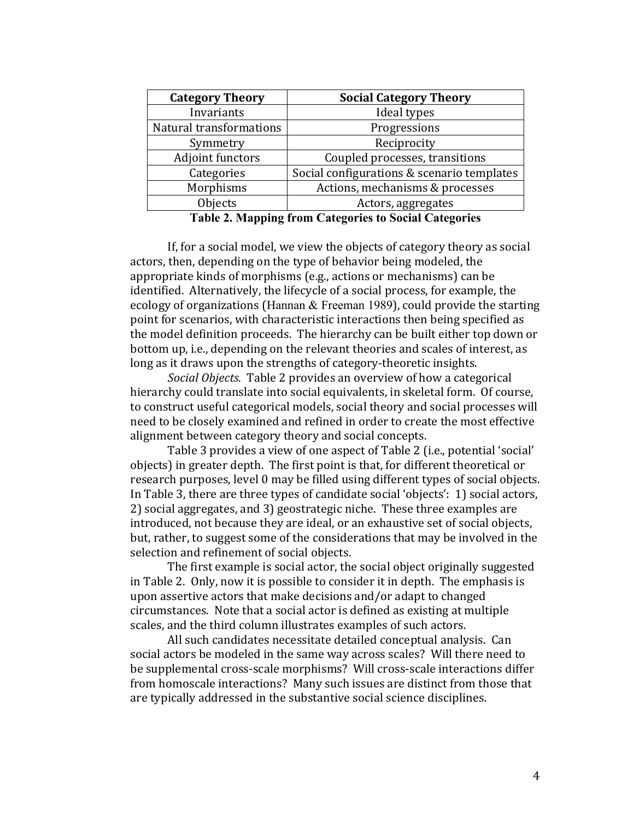| <b>Category Theory</b>  | <b>Social Category Theory</b>              |  |
|-------------------------|--------------------------------------------|--|
| Invariants              | Ideal types                                |  |
| Natural transformations | Progressions                               |  |
| Symmetry                | Reciprocity                                |  |
| Adjoint functors        | Coupled processes, transitions             |  |
| Categories              | Social configurations & scenario templates |  |
| Morphisms               | Actions, mechanisms & processes            |  |
| Objects                 | Actors, aggregates                         |  |

**Table 2. Mapping from Categories to Social Categories**

If, for a social model, we view the objects of category theory as social actors, then, depending on the type of behavior being modeled, the appropriate kinds of morphisms (e.g., actions or mechanisms) can be identified. Alternatively, the lifecycle of a social process, for example, the ecology of organizations (Hannan  $&$  Freeman 1989), could provide the starting point for scenarios, with characteristic interactions then being specified as the model definition proceeds. The hierarchy can be built either top down or bottom up, i.e., depending on the relevant theories and scales of interest, as long as it draws upon the strengths of category-theoretic insights.

Social Objects. Table 2 provides an overview of how a categorical hierarchy could translate into social equivalents, in skeletal form. Of course, to construct useful categorical models, social theory and social processes will need to be closely examined and refined in order to create the most effective alignment between category theory and social concepts.

Table 3 provides a view of one aspect of Table 2 (i.e., potential 'social' objects) in greater depth. The first point is that, for different theoretical or research purposes, level 0 may be filled using different types of social objects. In Table 3, there are three types of candidate social 'objects': 1) social actors, 2) social aggregates, and 3) geostrategic niche. These three examples are introduced, not because they are ideal, or an exhaustive set of social objects, but, rather, to suggest some of the considerations that may be involved in the selection and refinement of social objects.

The first example is social actor, the social object originally suggested in Table 2. Only, now it is possible to consider it in depth. The emphasis is upon assertive actors that make decisions and/or adapt to changed circumstances. Note that a social actor is defined as existing at multiple scales, and the third column illustrates examples of such actors.

All such candidates necessitate detailed conceptual analysis. Can social actors be modeled in the same way across scales? Will there need to be supplemental cross-scale morphisms? Will cross-scale interactions differ from homoscale interactions? Many such issues are distinct from those that are typically addressed in the substantive social science disciplines.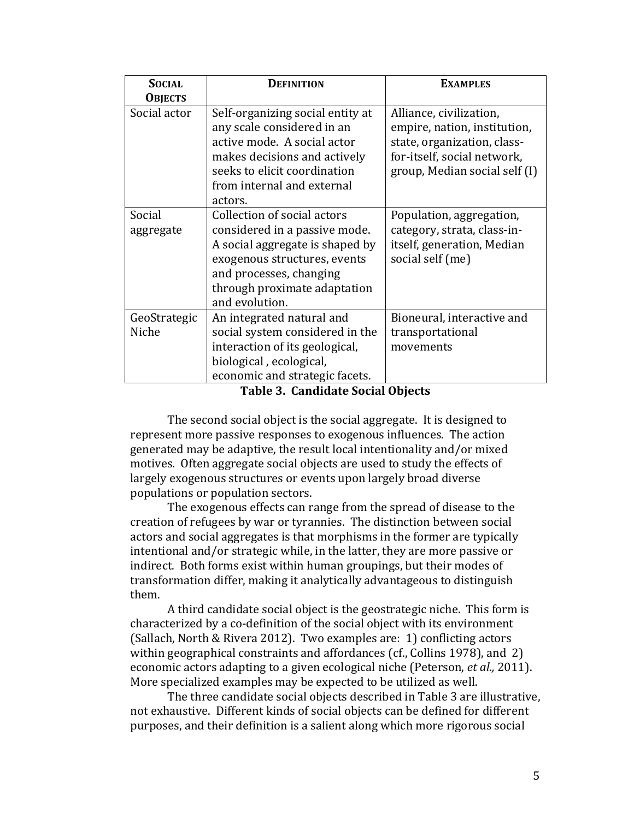| <b>SOCIAL</b>         | DEFINITION                                                                                                                                                                                                   | <b>EXAMPLES</b>                                                                                                                                        |
|-----------------------|--------------------------------------------------------------------------------------------------------------------------------------------------------------------------------------------------------------|--------------------------------------------------------------------------------------------------------------------------------------------------------|
| <b>OBJECTS</b>        |                                                                                                                                                                                                              |                                                                                                                                                        |
| Social actor          | Self-organizing social entity at<br>any scale considered in an<br>active mode. A social actor<br>makes decisions and actively<br>seeks to elicit coordination<br>from internal and external<br>actors.       | Alliance, civilization,<br>empire, nation, institution,<br>state, organization, class-<br>for-itself, social network,<br>group, Median social self (I) |
| Social<br>aggregate   | Collection of social actors<br>considered in a passive mode.<br>A social aggregate is shaped by<br>exogenous structures, events<br>and processes, changing<br>through proximate adaptation<br>and evolution. | Population, aggregation,<br>category, strata, class-in-<br>itself, generation, Median<br>social self (me)                                              |
| GeoStrategic<br>Niche | An integrated natural and<br>social system considered in the<br>interaction of its geological,<br>biological, ecological,<br>economic and strategic facets.                                                  | Bioneural, interactive and<br>transportational<br>movements                                                                                            |

Table 3. Candidate Social Objects

The second social object is the social aggregate. It is designed to represent more passive responses to exogenous influences. The action generated may be adaptive, the result local intentionality and/or mixed motives. Often aggregate social objects are used to study the effects of largely exogenous structures or events upon largely broad diverse populations or population sectors.

The exogenous effects can range from the spread of disease to the creation of refugees by war or tyrannies. The distinction between social actors and social aggregates is that morphisms in the former are typically intentional and/or strategic while, in the latter, they are more passive or indirect. Both forms exist within human groupings, but their modes of transformation differ, making it analytically advantageous to distinguish them.

A third candidate social object is the geostrategic niche. This form is characterized by a co-definition of the social object with its environment (Sallach, North & Rivera 2012). Two examples are: 1) conflicting actors within geographical constraints and affordances (cf., Collins 1978), and 2) economic actors adapting to a given ecological niche (Peterson, *et al.*, 2011). More specialized examples may be expected to be utilized as well.

The three candidate social objects described in Table 3 are illustrative, not exhaustive. Different kinds of social objects can be defined for different purposes, and their definition is a salient along which more rigorous social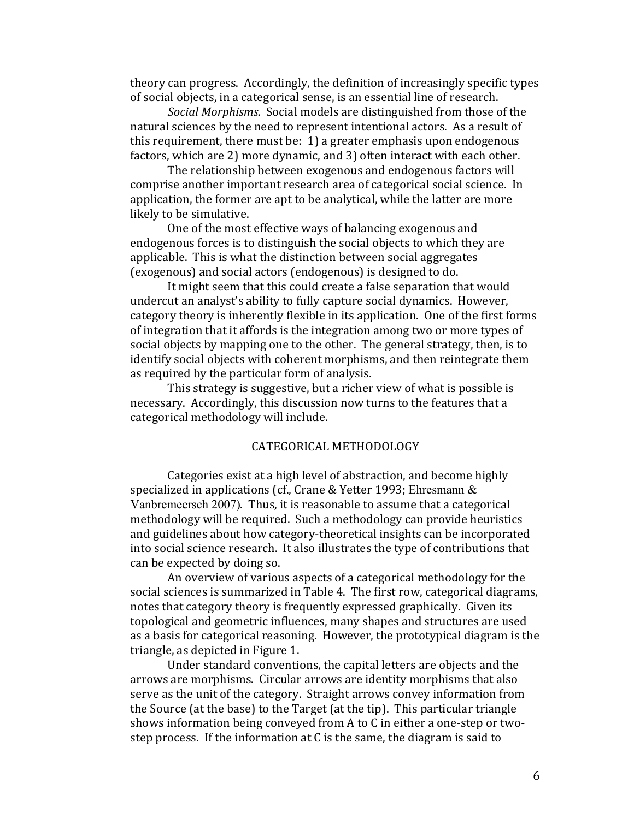theory can progress. Accordingly, the definition of increasingly specific types of social objects, in a categorical sense, is an essential line of research.

*Social Morphisms.* Social models are distinguished from those of the natural sciences by the need to represent intentional actors. As a result of this requirement, there must be:  $1$ ) a greater emphasis upon endogenous factors, which are 2) more dynamic, and 3) often interact with each other.

The relationship between exogenous and endogenous factors will comprise another important research area of categorical social science. In application, the former are apt to be analytical, while the latter are more likely to be simulative.

One of the most effective ways of balancing exogenous and endogenous forces is to distinguish the social objects to which they are applicable. This is what the distinction between social aggregates (exogenous) and social actors (endogenous) is designed to do.

It might seem that this could create a false separation that would undercut an analyst's ability to fully capture social dynamics. However, category theory is inherently flexible in its application. One of the first forms of integration that it affords is the integration among two or more types of social objects by mapping one to the other. The general strategy, then, is to identify social objects with coherent morphisms, and then reintegrate them as required by the particular form of analysis.

This strategy is suggestive, but a richer view of what is possible is necessary. Accordingly, this discussion now turns to the features that a categorical'methodology'will'include.

# CATEGORICAL'METHODOLOGY

Categories exist at a high level of abstraction, and become highly specialized in applications (cf., Crane & Yetter 1993; Ehresmann  $&$ Vanbremeersch 2007). Thus, it is reasonable to assume that a categorical methodology will be required. Such a methodology can provide heuristics and guidelines about how category-theoretical insights can be incorporated into social science research. It also illustrates the type of contributions that can be expected by doing so.

An overview of various aspects of a categorical methodology for the social sciences is summarized in Table 4. The first row, categorical diagrams, notes that category theory is frequently expressed graphically. Given its topological and geometric influences, many shapes and structures are used as a basis for categorical reasoning. However, the prototypical diagram is the triangle, as depicted in Figure 1.

Under standard conventions, the capital letters are objects and the arrows are morphisms. Circular arrows are identity morphisms that also serve as the unit of the category. Straight arrows convey information from the Source (at the base) to the Target (at the tip). This particular triangle shows information being conveyed from A to C in either a one-step or twostep process. If the information at C is the same, the diagram is said to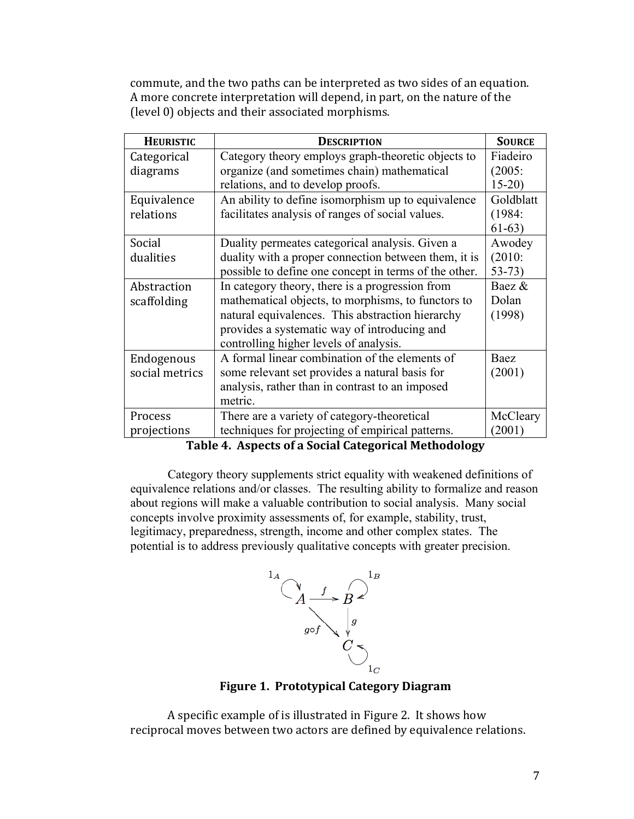commute, and the two paths can be interpreted as two sides of an equation. A more concrete interpretation will depend, in part, on the nature of the (level 0) objects and their associated morphisms.

| <b>HEURISTIC</b> | <b>DESCRIPTION</b>                                    | <b>SOURCE</b> |
|------------------|-------------------------------------------------------|---------------|
| Categorical      | Category theory employs graph-theoretic objects to    | Fiadeiro      |
| diagrams         | organize (and sometimes chain) mathematical           | (2005)        |
|                  | relations, and to develop proofs.                     | $15-20$       |
| Equivalence      | An ability to define isomorphism up to equivalence    | Goldblatt     |
| relations        | facilitates analysis of ranges of social values.      | (1984)        |
|                  |                                                       | $61-63)$      |
| Social           | Duality permeates categorical analysis. Given a       | Awodey        |
| dualities        | duality with a proper connection between them, it is  | $(2010)$ :    |
|                  | possible to define one concept in terms of the other. | $53 - 73$     |
| Abstraction      | In category theory, there is a progression from       | Baez &        |
| scaffolding      | mathematical objects, to morphisms, to functors to    | Dolan         |
|                  | natural equivalences. This abstraction hierarchy      | (1998)        |
|                  | provides a systematic way of introducing and          |               |
|                  | controlling higher levels of analysis.                |               |
| Endogenous       | A formal linear combination of the elements of        | Baez          |
| social metrics   | some relevant set provides a natural basis for        | (2001)        |
|                  | analysis, rather than in contrast to an imposed       |               |
|                  | metric.                                               |               |
| Process          | There are a variety of category-theoretical           | McCleary      |
| projections      | techniques for projecting of empirical patterns.      | (2001)        |

Table 4. Aspects of a Social Categorical Methodology

Category theory supplements strict equality with weakened definitions of equivalence relations and/or classes. The resulting ability to formalize and reason about regions will make a valuable contribution to social analysis. Many social concepts involve proximity assessments of, for example, stability, trust, legitimacy, preparedness, strength, income and other complex states. The potential is to address previously qualitative concepts with greater precision.



**Figure 1. Prototypical Category Diagram** 

A specific example of is illustrated in Figure 2. It shows how reciprocal moves between two actors are defined by equivalence relations.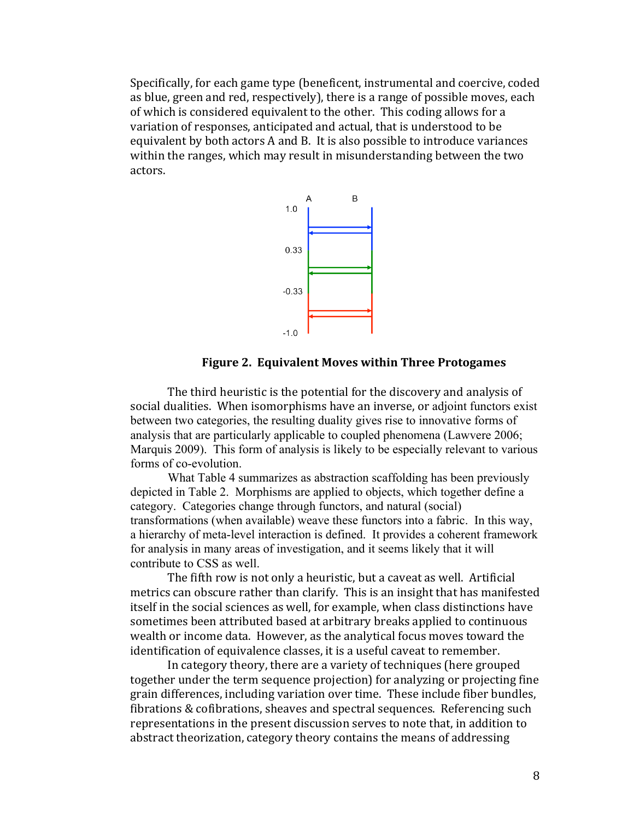Specifically, for each game type (beneficent, instrumental and coercive, coded as blue, green and red, respectively), there is a range of possible moves, each of which is considered equivalent to the other. This coding allows for a variation of responses, anticipated and actual, that is understood to be equivalent by both actors A and B. It is also possible to introduce variances within the ranges, which may result in misunderstanding between the two actors.



### Figure 2. Equivalent Moves within Three Protogames

The third heuristic is the potential for the discovery and analysis of social dualities. When isomorphisms have an inverse, or adjoint functors exist between two categories, the resulting duality gives rise to innovative forms of analysis that are particularly applicable to coupled phenomena (Lawvere 2006; Marquis 2009). This form of analysis is likely to be especially relevant to various forms of co-evolution.

What Table 4 summarizes as abstraction scaffolding has been previously depicted in Table 2. Morphisms are applied to objects, which together define a category. Categories change through functors, and natural (social) transformations (when available) weave these functors into a fabric. In this way, a hierarchy of meta-level interaction is defined. It provides a coherent framework for analysis in many areas of investigation, and it seems likely that it will contribute to CSS as well.

The fifth row is not only a heuristic, but a caveat as well. Artificial metrics can obscure rather than clarify. This is an insight that has manifested itself in the social sciences as well, for example, when class distinctions have sometimes been attributed based at arbitrary breaks applied to continuous wealth or income data. However, as the analytical focus moves toward the identification of equivalence classes, it is a useful caveat to remember.

In category theory, there are a variety of techniques (here grouped together under the term sequence projection) for analyzing or projecting fine grain differences, including variation over time. These include fiber bundles, fibrations & cofibrations, sheaves and spectral sequences. Referencing such representations in the present discussion serves to note that, in addition to abstract theorization, category theory contains the means of addressing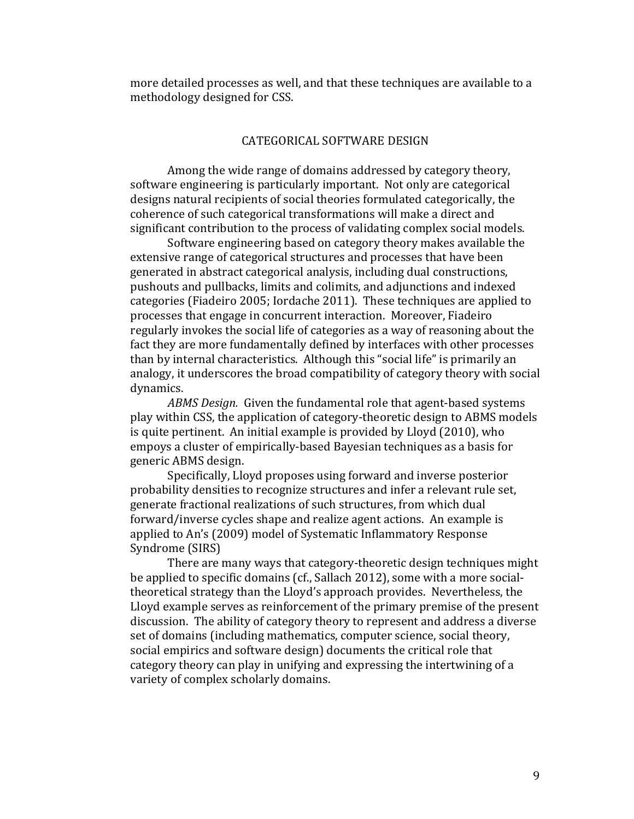more detailed processes as well, and that these techniques are available to a methodology designed for CSS.

### CATEGORICAL'SOFTWARE'DESIGN

Among the wide range of domains addressed by category theory, software engineering is particularly important. Not only are categorical designs natural recipients of social theories formulated categorically, the coherence of such categorical transformations will make a direct and significant contribution to the process of validating complex social models.

Software engineering based on category theory makes available the extensive range of categorical structures and processes that have been generated in abstract categorical analysis, including dual constructions, pushouts and pullbacks, limits and colimits, and adjunctions and indexed categories (Fiadeiro 2005; Iordache 2011). These techniques are applied to processes that engage in concurrent interaction. Moreover, Fiadeiro regularly invokes the social life of categories as a way of reasoning about the fact they are more fundamentally defined by interfaces with other processes than by internal characteristics. Although this "social life" is primarily an analogy, it underscores the broad compatibility of category theory with social dynamics.

*ABMS Design.* Given the fundamental role that agent-based systems play within CSS, the application of category-theoretic design to ABMS models is quite pertinent. An initial example is provided by Lloyd (2010), who empoys a cluster of empirically-based Bayesian techniques as a basis for generic ABMS design.

Specifically, Lloyd proposes using forward and inverse posterior probability densities to recognize structures and infer a relevant rule set, generate fractional realizations of such structures, from which dual forward/inverse cycles shape and realize agent actions. An example is applied to An's (2009) model of Systematic Inflammatory Response Syndrome (SIRS)

There are many ways that category-theoretic design techniques might be applied to specific domains (cf., Sallach 2012), some with a more socialtheoretical strategy than the Lloyd's approach provides. Nevertheless, the Lloyd example serves as reinforcement of the primary premise of the present discussion. The ability of category theory to represent and address a diverse set of domains (including mathematics, computer science, social theory, social empirics and software design) documents the critical role that category theory can play in unifying and expressing the intertwining of a variety of complex scholarly domains.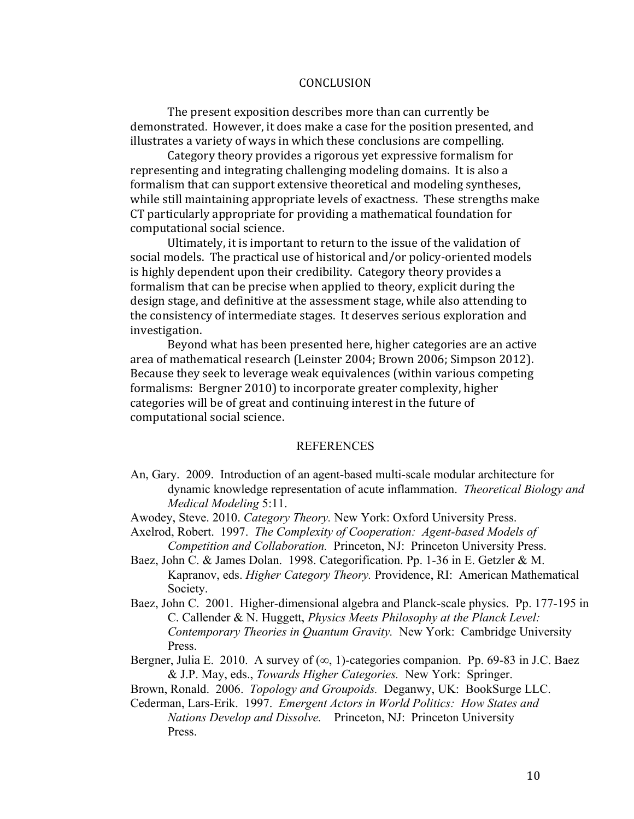### CONCLUSION

The present exposition describes more than can currently be. demonstrated. However, it does make a case for the position presented, and illustrates a variety of ways in which these conclusions are compelling.

Category theory provides a rigorous yet expressive formalism for representing and integrating challenging modeling domains. It is also a formalism that can support extensive theoretical and modeling syntheses, while still maintaining appropriate levels of exactness. These strengths make CT particularly appropriate for providing a mathematical foundation for computational social science.

Ultimately, it is important to return to the issue of the validation of social models. The practical use of historical and/or policy-oriented models is highly dependent upon their credibility. Category theory provides a formalism that can be precise when applied to theory, explicit during the design stage, and definitive at the assessment stage, while also attending to the consistency of intermediate stages. It deserves serious exploration and investigation.

Beyond what has been presented here, higher categories are an active area of mathematical research (Leinster 2004; Brown 2006; Simpson 2012). Because they seek to leverage weak equivalences (within various competing) formalisms: Bergner 2010) to incorporate greater complexity, higher categories will be of great and continuing interest in the future of computational social science.

### **REFERENCES**

- An, Gary. 2009. Introduction of an agent-based multi-scale modular architecture for dynamic knowledge representation of acute inflammation. *Theoretical Biology and Medical Modeling* 5:11.
- Awodey, Steve. 2010. *Category Theory.* New York: Oxford University Press.
- Axelrod, Robert. 1997. *The Complexity of Cooperation: Agent-based Models of Competition and Collaboration.* Princeton, NJ: Princeton University Press.
- Baez, John C. & James Dolan. 1998. Categorification. Pp. 1-36 in E. Getzler & M. Kapranov, eds. *Higher Category Theory.* Providence, RI: American Mathematical Society.
- Baez, John C. 2001. Higher-dimensional algebra and Planck-scale physics. Pp. 177-195 in C. Callender & N. Huggett, *Physics Meets Philosophy at the Planck Level: Contemporary Theories in Quantum Gravity.* New York: Cambridge University Press.
- Bergner, Julia E. 2010. A survey of  $(\infty, 1)$ -categories companion. Pp. 69-83 in J.C. Baez & J.P. May, eds., *Towards Higher Categories.* New York: Springer.
- Brown, Ronald. 2006. *Topology and Groupoids.* Deganwy, UK: BookSurge LLC.
- Cederman, Lars-Erik. 1997. *Emergent Actors in World Politics: How States and Nations Develop and Dissolve.* Princeton, NJ: Princeton University Press.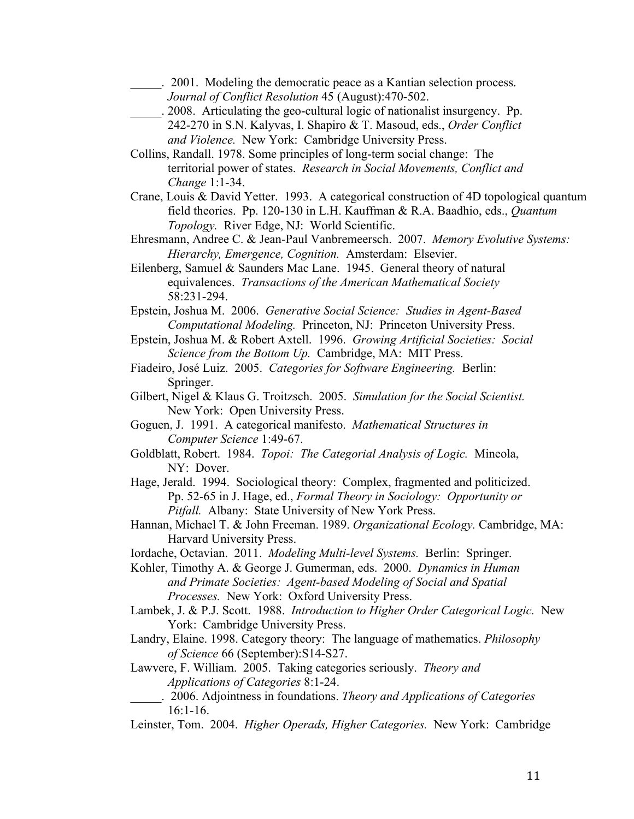- \_\_\_\_\_. 2001. Modeling the democratic peace as a Kantian selection process.
- *Journal of Conflict Resolution* 45 (August):470-502.
- \_\_\_\_\_. 2008. Articulating the geo-cultural logic of nationalist insurgency. Pp. 242-270 in S.N. Kalyvas, I. Shapiro & T. Masoud, eds., *Order Conflict and Violence.* New York: Cambridge University Press.

Collins, Randall. 1978. Some principles of long-term social change: The territorial power of states. *Research in Social Movements, Conflict and Change* 1:1-34.

Crane, Louis & David Yetter. 1993. A categorical construction of 4D topological quantum field theories. Pp. 120-130 in L.H. Kauffman & R.A. Baadhio, eds., *Quantum Topology.* River Edge, NJ: World Scientific.

Ehresmann, Andree C. & Jean-Paul Vanbremeersch. 2007. *Memory Evolutive Systems: Hierarchy, Emergence, Cognition.* Amsterdam: Elsevier.

Eilenberg, Samuel & Saunders Mac Lane. 1945. General theory of natural equivalences. *Transactions of the American Mathematical Society* 58:231-294.

Epstein, Joshua M. 2006. *Generative Social Science: Studies in Agent-Based Computational Modeling.* Princeton, NJ: Princeton University Press.

Epstein, Joshua M. & Robert Axtell. 1996. *Growing Artificial Societies: Social Science from the Bottom Up.* Cambridge, MA: MIT Press.

- Fiadeiro, José Luiz. 2005. *Categories for Software Engineering.* Berlin: Springer.
- Gilbert, Nigel & Klaus G. Troitzsch. 2005. *Simulation for the Social Scientist.* New York: Open University Press.

Goguen, J. 1991. A categorical manifesto. *Mathematical Structures in Computer Science* 1:49-67.

Goldblatt, Robert. 1984. *Topoi: The Categorial Analysis of Logic.* Mineola, NY: Dover.

Hage, Jerald. 1994. Sociological theory: Complex, fragmented and politicized. Pp. 52-65 in J. Hage, ed., *Formal Theory in Sociology: Opportunity or Pitfall.* Albany: State University of New York Press.

- Hannan, Michael T. & John Freeman. 1989. *Organizational Ecology.* Cambridge, MA: Harvard University Press.
- Iordache, Octavian. 2011. *Modeling Multi-level Systems.* Berlin: Springer.
- Kohler, Timothy A. & George J. Gumerman, eds. 2000. *Dynamics in Human and Primate Societies: Agent-based Modeling of Social and Spatial Processes.* New York: Oxford University Press.
- Lambek, J. & P.J. Scott. 1988. *Introduction to Higher Order Categorical Logic.* New York: Cambridge University Press.
- Landry, Elaine. 1998. Category theory: The language of mathematics. *Philosophy of Science* 66 (September):S14-S27.

Lawvere, F. William. 2005. Taking categories seriously. *Theory and Applications of Categories* 8:1-24.

\_\_\_\_\_. 2006. Adjointness in foundations. *Theory and Applications of Categories* 16:1-16.

Leinster, Tom. 2004. *Higher Operads, Higher Categories.* New York: Cambridge